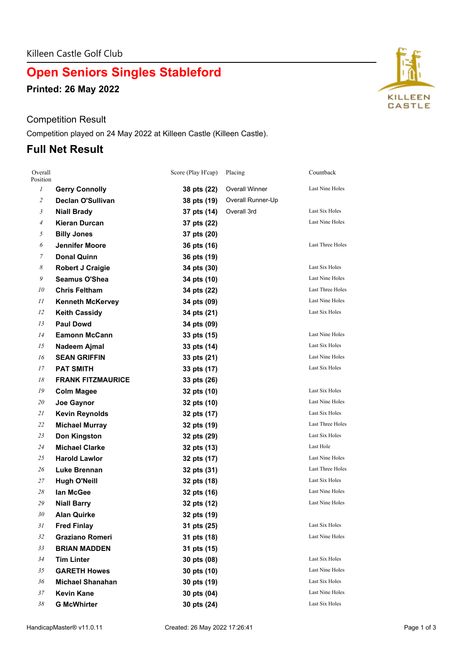# **Open Seniors Singles Stableford**

**Printed: 26 May 2022**

### Competition Result

Competition played on 24 May 2022 at Killeen Castle (Killeen Castle).

## **Full Net Result**

| Overall<br>Position |                          | Score (Play H'cap) | Placing               | Countback               |
|---------------------|--------------------------|--------------------|-----------------------|-------------------------|
| $\mathcal{I}$       | <b>Gerry Connolly</b>    | 38 pts (22)        | <b>Overall Winner</b> | Last Nine Holes         |
| $\overline{c}$      | <b>Declan O'Sullivan</b> | 38 pts (19)        | Overall Runner-Up     |                         |
| $\mathfrak{Z}$      | <b>Niall Brady</b>       | 37 pts (14)        | Overall 3rd           | Last Six Holes          |
| $\overline{A}$      | <b>Kieran Durcan</b>     | 37 pts (22)        |                       | Last Nine Holes         |
| 5                   | <b>Billy Jones</b>       | 37 pts (20)        |                       |                         |
| 6                   | <b>Jennifer Moore</b>    | 36 pts (16)        |                       | Last Three Holes        |
| 7                   | <b>Donal Quinn</b>       | 36 pts (19)        |                       |                         |
| 8                   | Robert J Craigie         | 34 pts (30)        |                       | Last Six Holes          |
| 9                   | <b>Seamus O'Shea</b>     | 34 pts (10)        |                       | Last Nine Holes         |
| 10                  | <b>Chris Feltham</b>     | 34 pts (22)        |                       | Last Three Holes        |
| 11                  | <b>Kenneth McKervey</b>  | 34 pts (09)        |                       | Last Nine Holes         |
| 12                  | <b>Keith Cassidy</b>     | 34 pts (21)        |                       | Last Six Holes          |
| 13                  | <b>Paul Dowd</b>         | 34 pts (09)        |                       |                         |
| 14                  | <b>Eamonn McCann</b>     | 33 pts (15)        |                       | Last Nine Holes         |
| 15                  | Nadeem Ajmal             | 33 pts (14)        |                       | Last Six Holes          |
| 16                  | <b>SEAN GRIFFIN</b>      | 33 pts (21)        |                       | <b>Last Nine Holes</b>  |
| 17                  | <b>PAT SMITH</b>         | 33 pts (17)        |                       | Last Six Holes          |
| 18                  | <b>FRANK FITZMAURICE</b> | 33 pts (26)        |                       |                         |
| 19                  | <b>Colm Magee</b>        | 32 pts (10)        |                       | Last Six Holes          |
| 20                  | Joe Gaynor               | 32 pts (10)        |                       | Last Nine Holes         |
| 21                  | <b>Kevin Reynolds</b>    | 32 pts (17)        |                       | Last Six Holes          |
| 22                  | <b>Michael Murray</b>    | 32 pts (19)        |                       | <b>Last Three Holes</b> |
| 23                  | <b>Don Kingston</b>      | 32 pts (29)        |                       | Last Six Holes          |
| 24                  | <b>Michael Clarke</b>    | 32 pts (13)        |                       | Last Hole               |
| 25                  | <b>Harold Lawlor</b>     | 32 pts (17)        |                       | Last Nine Holes         |
| 26                  | <b>Luke Brennan</b>      | 32 pts (31)        |                       | Last Three Holes        |
| 27                  | <b>Hugh O'Neill</b>      | 32 pts (18)        |                       | Last Six Holes          |
| 28                  | lan McGee                | 32 pts (16)        |                       | Last Nine Holes         |
| 29                  | <b>Niall Barry</b>       | 32 pts (12)        |                       | <b>Last Nine Holes</b>  |
| 30                  | Alan Quirke              | 32 pts (19)        |                       |                         |
| 31                  | <b>Fred Finlay</b>       | 31 pts (25)        |                       | Last Six Holes          |
| 32                  | <b>Graziano Romeri</b>   | 31 pts (18)        |                       | <b>Last Nine Holes</b>  |
| 33                  | <b>BRIAN MADDEN</b>      | 31 pts (15)        |                       |                         |
| 34                  | <b>Tim Linter</b>        | 30 pts (08)        |                       | Last Six Holes          |
| 35                  | <b>GARETH Howes</b>      | 30 pts (10)        |                       | Last Nine Holes         |
| 36                  | <b>Michael Shanahan</b>  | 30 pts (19)        |                       | Last Six Holes          |
| 37                  | <b>Kevin Kane</b>        | 30 pts (04)        |                       | <b>Last Nine Holes</b>  |
| 38                  | <b>G McWhirter</b>       | 30 pts (24)        |                       | Last Six Holes          |

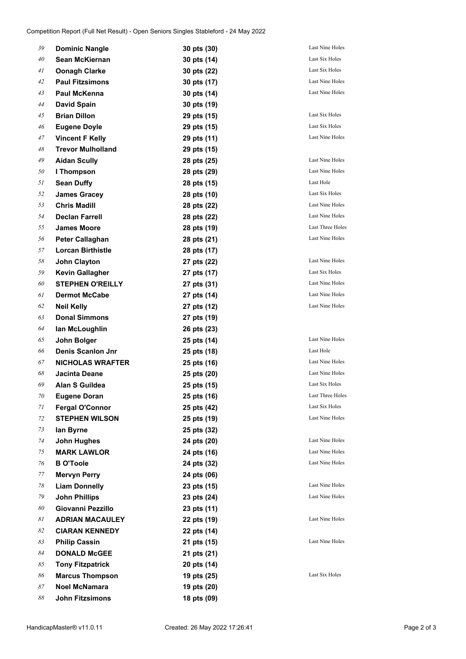| 39 | <b>Dominic Nangle</b>    | 30 pts (30) | Last Nine Holes        |
|----|--------------------------|-------------|------------------------|
| 40 | Sean McKiernan           | 30 pts (14) | Last Six Holes         |
| 41 | Oonagh Clarke            | 30 pts (22) | Last Six Holes         |
| 42 | <b>Paul Fitzsimons</b>   | 30 pts (17) | Last Nine Holes        |
| 43 | Paul McKenna             | 30 pts (14) | Last Nine Holes        |
| 44 | <b>David Spain</b>       | 30 pts (19) |                        |
| 45 | <b>Brian Dillon</b>      | 29 pts (15) | Last Six Holes         |
| 46 | <b>Eugene Doyle</b>      | 29 pts (15) | Last Six Holes         |
| 47 | <b>Vincent F Kelly</b>   | 29 pts (11) | Last Nine Holes        |
| 48 | <b>Trevor Mulholland</b> | 29 pts (15) |                        |
| 49 | <b>Aidan Scully</b>      | 28 pts (25) | Last Nine Holes        |
| 50 | I Thompson               | 28 pts (29) | Last Nine Holes        |
| 51 | <b>Sean Duffy</b>        | 28 pts (15) | Last Hole              |
| 52 | <b>James Gracey</b>      | 28 pts (10) | Last Six Holes         |
| 53 | <b>Chris Madill</b>      | 28 pts (22) | Last Nine Holes        |
| 54 | <b>Declan Farrell</b>    | 28 pts (22) | <b>Last Nine Holes</b> |
| 55 | <b>James Moore</b>       | 28 pts (19) | Last Three Holes       |
| 56 | Peter Callaghan          | 28 pts (21) | Last Nine Holes        |
| 57 | <b>Lorcan Birthistle</b> | 28 pts (17) |                        |
| 58 | <b>John Clayton</b>      | 27 pts (22) | <b>Last Nine Holes</b> |
| 59 | <b>Kevin Gallagher</b>   | 27 pts (17) | Last Six Holes         |
| 60 | STEPHEN O'REILLY         | 27 pts (31) | Last Nine Holes        |
| 61 | <b>Dermot McCabe</b>     | 27 pts (14) | Last Nine Holes        |
| 62 | <b>Neil Kelly</b>        | 27 pts (12) | Last Nine Holes        |
| 63 | <b>Donal Simmons</b>     | 27 pts (19) |                        |
| 64 | lan McLoughlin           | 26 pts (23) |                        |
| 65 | John Bolger              | 25 pts (14) | <b>Last Nine Holes</b> |
| 66 | <b>Denis Scanlon Jnr</b> | 25 pts (18) | Last Hole              |
| 67 | NICHOLAS WRAFTER         | 25 pts (16) | Last Nine Holes        |
| 68 | Jacinta Deane            | 25 pts (20) | Last Nine Holes        |
| 69 | Alan S Guildea           | 25 pts (15) | Last Six Holes         |
| 70 | <b>Eugene Doran</b>      | 25 pts (16) | Last Three Holes       |
| 71 | <b>Fergal O'Connor</b>   | 25 pts (42) | Last Six Holes         |
| 72 | <b>STEPHEN WILSON</b>    | 25 pts (19) | Last Nine Holes        |
| 73 | lan Byrne                | 25 pts (32) |                        |
| 74 | <b>John Hughes</b>       | 24 pts (20) | <b>Last Nine Holes</b> |
| 75 | <b>MARK LAWLOR</b>       | 24 pts (16) | Last Nine Holes        |
| 76 | <b>B O'Toole</b>         | 24 pts (32) | Last Nine Holes        |
| 77 | <b>Mervyn Perry</b>      | 24 pts (06) |                        |
| 78 | <b>Liam Donnelly</b>     | 23 pts (15) | Last Nine Holes        |
| 79 | <b>John Phillips</b>     | 23 pts (24) | Last Nine Holes        |
| 80 | Giovanni Pezzillo        | 23 pts (11) |                        |
| 81 | <b>ADRIAN MACAULEY</b>   | 22 pts (19) | Last Nine Holes        |
| 82 | <b>CIARAN KENNEDY</b>    | 22 pts (14) |                        |
| 83 | <b>Philip Cassin</b>     | 21 pts (15) | Last Nine Holes        |
| 84 | <b>DONALD McGEE</b>      | 21 pts (21) |                        |
| 85 | <b>Tony Fitzpatrick</b>  | 20 pts (14) |                        |
| 86 | <b>Marcus Thompson</b>   | 19 pts (25) | Last Six Holes         |
| 87 | Noel McNamara            | 19 pts (20) |                        |
| 88 | <b>John Fitzsimons</b>   | 18 pts (09) |                        |
|    |                          |             |                        |

**Last Nine Holes**  $Last Nine Holes$